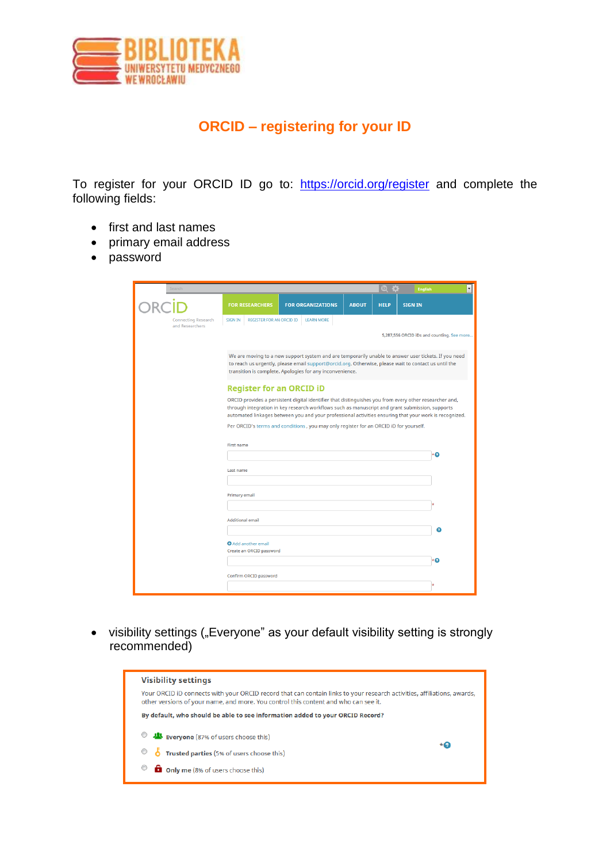

## **ORCID – registering for your ID**

To register for your ORCID ID go to: <https://orcid.org/register> and complete the following fields:

- first and last names
- primary email address
- password

| Search                                 |                                                                                                                                                                                                                                                                                                                     |                          |              | $\overline{1}$<br>čo: | <b>English</b>                             |  |
|----------------------------------------|---------------------------------------------------------------------------------------------------------------------------------------------------------------------------------------------------------------------------------------------------------------------------------------------------------------------|--------------------------|--------------|-----------------------|--------------------------------------------|--|
|                                        | <b>FOR RESEARCHERS</b>                                                                                                                                                                                                                                                                                              | <b>FOR ORGANIZATIONS</b> | <b>ABOUT</b> | <b>HELP</b>           | <b>SIGN IN</b>                             |  |
| Connecting Research<br>and Researchers | <b>REGISTER FOR AN ORCID ID</b><br><b>SIGN IN</b>                                                                                                                                                                                                                                                                   | <b>LEARN MORE</b>        |              |                       |                                            |  |
|                                        |                                                                                                                                                                                                                                                                                                                     |                          |              |                       | 5,287,556 ORCID iDs and counting. See more |  |
|                                        | We are moving to a new support system and are temporarily unable to answer user tickets. If you need<br>to reach us urgently, please email support@orcid.org. Otherwise, please wait to contact us until the<br>transition is complete. Apologies for any inconvenience.                                            |                          |              |                       |                                            |  |
|                                        | <b>Register for an ORCID ID</b>                                                                                                                                                                                                                                                                                     |                          |              |                       |                                            |  |
|                                        | ORCID provides a persistent digital identifier that distinguishes you from every other researcher and,<br>through integration in key research workflows such as manuscript and grant submission, supports<br>automated linkages between you and your professional activities ensuring that your work is recognized. |                          |              |                       |                                            |  |
|                                        | Per ORCID's terms and conditions, you may only register for an ORCID iD for yourself.                                                                                                                                                                                                                               |                          |              |                       |                                            |  |
|                                        | First name                                                                                                                                                                                                                                                                                                          |                          |              |                       |                                            |  |
|                                        |                                                                                                                                                                                                                                                                                                                     |                          |              |                       | ٠o                                         |  |
|                                        | Last name                                                                                                                                                                                                                                                                                                           |                          |              |                       |                                            |  |
|                                        | <b>Primary email</b>                                                                                                                                                                                                                                                                                                |                          |              |                       |                                            |  |
|                                        |                                                                                                                                                                                                                                                                                                                     |                          |              |                       |                                            |  |
|                                        | <b>Additional email</b>                                                                                                                                                                                                                                                                                             | ⋒                        |              |                       |                                            |  |
|                                        | Add another email                                                                                                                                                                                                                                                                                                   |                          |              |                       |                                            |  |
|                                        | Create an ORCID password                                                                                                                                                                                                                                                                                            |                          |              |                       | ×О                                         |  |
|                                        | Confirm ORCID password                                                                                                                                                                                                                                                                                              |                          |              |                       |                                            |  |
|                                        |                                                                                                                                                                                                                                                                                                                     |                          |              |                       |                                            |  |

• visibility settings ("Everyone" as your default visibility setting is strongly recommended)

| <b>Visibility settings</b>                                                                                                                                                                                     |           |
|----------------------------------------------------------------------------------------------------------------------------------------------------------------------------------------------------------------|-----------|
| Your ORCID iD connects with your ORCID record that can contain links to your research activities, affiliations, awards,<br>other versions of your name, and more. You control this content and who can see it. |           |
| By default, who should be able to see information added to your ORCID Record?                                                                                                                                  |           |
| Everyone (87% of users choose this)                                                                                                                                                                            |           |
| Trusted parties (5% of users choose this)<br>$\bullet$ 6                                                                                                                                                       | $\star$ 0 |
| <b>D</b> Only me (8% of users choose this)                                                                                                                                                                     |           |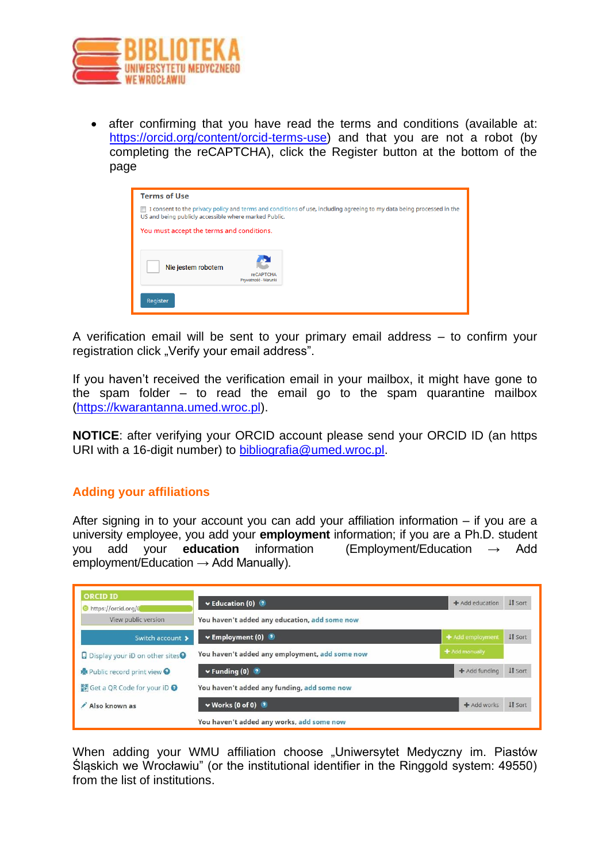

• after confirming that you have read the terms and conditions (available at: [https://orcid.org/content/orcid-terms-use\)](https://orcid.org/content/orcid-terms-use) and that you are not a robot (by completing the reCAPTCHA), click the Register button at the bottom of the page

| <b>Terms of Use</b>                                   |                                          |                                                                                                                              |
|-------------------------------------------------------|------------------------------------------|------------------------------------------------------------------------------------------------------------------------------|
| US and being publicly accessible where marked Public. |                                          | $\Box$ I consent to the privacy policy and terms and conditions of use, including agreeing to my data being processed in the |
| You must accept the terms and conditions.             |                                          |                                                                                                                              |
| Nie jestem robotem                                    | <b>reCAPTCHA</b><br>Prywatność - Warunki |                                                                                                                              |
| Register                                              |                                          |                                                                                                                              |

A verification email will be sent to your primary email address – to confirm your registration click "Verify your email address".

If you haven't received the verification email in your mailbox, it might have gone to the spam folder  $-$  to read the email go to the spam quarantine mailbox [\(https://kwarantanna.umed.wroc.pl\)](https://kwarantanna.umed.wroc.pl/).

**NOTICE**: after verifying your ORCID account please send your ORCID ID (an https URI with a 16-digit number) to [bibliografia@umed.wroc.pl.](mailto:bibliografia@umed.wroc.pl)

## **Adding your affiliations**

After signing in to your account you can add your affiliation information – if you are a university employee, you add your **employment** information; if you are a Ph.D. student you add your **education** information (Employment/Education → Add employment/Education  $\rightarrow$  Add Manually).



When adding your WMU affiliation choose "Uniwersytet Medyczny im. Piastów Śląskich we Wrocławiu" (or the institutional identifier in the Ringgold system: 49550) from the list of institutions.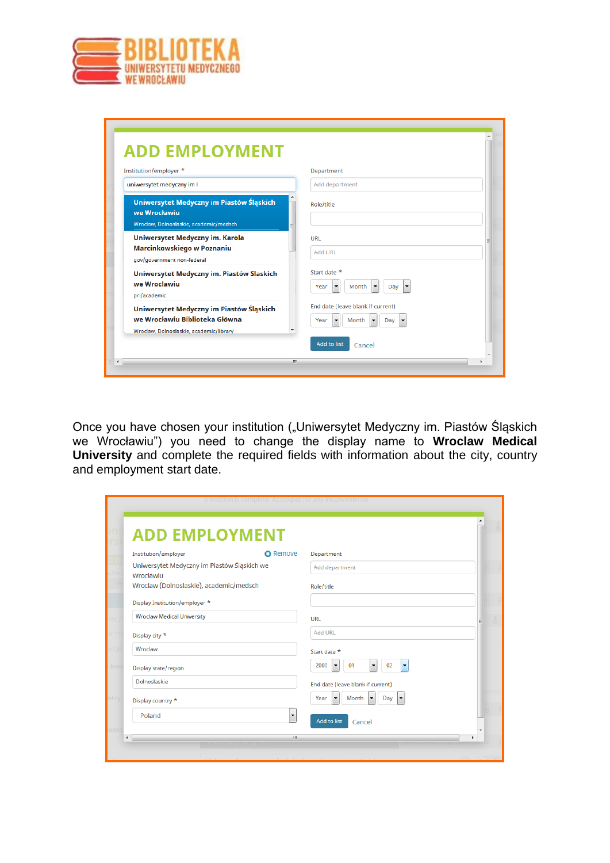

| Institution/employer *                                                                                                | Department                                                                                                       |
|-----------------------------------------------------------------------------------------------------------------------|------------------------------------------------------------------------------------------------------------------|
| uniwersytet medyczny im I                                                                                             | Add department                                                                                                   |
| Uniwersytet Medyczny im Piastów Śląskich<br>we Wrocławiu<br>Wroclaw, Dolnoslaskie, academic/medsch                    | Role/title                                                                                                       |
| Uniwersytet Medyczny im. Karola<br>Marcinkowskiego w Poznaniu<br>qov/qovernment non-federal                           | URL<br>Add URL                                                                                                   |
| Uniwersytet Medyczny im. Piastów Slaskich<br>we Wroclawiu<br>pri/academic                                             | Start date *<br>Month<br>$\blacktriangledown$<br>$\blacktriangledown$<br>Day<br>Year<br>$\overline{\phantom{a}}$ |
| Uniwersytet Medyczny im Piastów Śląskich<br>we Wrocławiu Biblioteka Główna<br>Wroclaw, Dolnoslaskie, academic/library | End date (leave blank if current)<br>Month<br>Year<br>Dav<br>$\overline{\phantom{a}}$<br>۰                       |

Once you have chosen your institution ("Uniwersytet Medyczny im. Piastów Śląskich we Wrocławiu") you need to change the display name to **Wroclaw Medical University** and complete the required fields with information about the city, country and employment start date.

| <b>ADD EMPLOYMENT</b>                                    |                          |                                                                                          |  |
|----------------------------------------------------------|--------------------------|------------------------------------------------------------------------------------------|--|
| Institution/employer                                     | <b>O</b> Remove          | Department                                                                               |  |
| Uniwersytet Medyczny im Piastów Śląskich we<br>Wrocławiu |                          | Add department                                                                           |  |
| Wroclaw (Dolnoslaskie), academic/medsch                  |                          | Role/title                                                                               |  |
| Display Institution/employer *                           |                          |                                                                                          |  |
| <b>Wroclaw Medical University</b>                        |                          | <b>URL</b>                                                                               |  |
| Display city *                                           |                          | <b>Add URL</b>                                                                           |  |
| Wroclaw                                                  |                          | Start date *                                                                             |  |
| Display state/region                                     |                          | 01<br>02<br>2000<br>$\blacktriangledown$<br>$\blacktriangledown$<br>$\blacktriangledown$ |  |
| Dolnoslaskie                                             |                          | End date (leave blank if current)                                                        |  |
| Display country *                                        |                          | Month<br>Day<br>Year<br>$\blacktriangledown$<br>$\blacktriangledown$<br>▸                |  |
| Poland                                                   | $\overline{\phantom{a}}$ |                                                                                          |  |